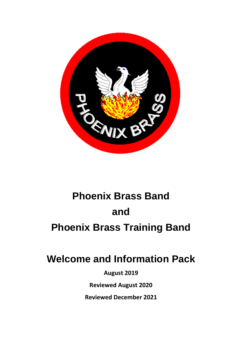

# **Phoenix Brass Band and Phoenix Brass Training Band**

## **Welcome and Information Pack**

**August 2019**

**Reviewed August 2020**

**Reviewed December 2021**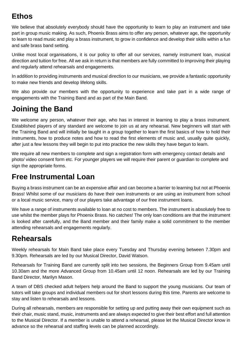### **Ethos**

We believe that absolutely everybody should have the opportunity to learn to play an instrument and take part in group music making. As such, Phoenix Brass aims to offer any person, whatever age, the opportunity to learn to read music and play a brass instrument, to grow in confidence and develop their skills within a fun and safe brass band setting.

Unlike most local organisations, it is our policy to offer all our services, namely instrument loan, musical direction and tuition for free. All we ask in return is that members are fully committed to improving their playing and regularly attend rehearsals and engagements.

In addition to providing instruments and musical direction to our musicians, we provide a fantastic opportunity to make new friends and develop lifelong skills.

We also provide our members with the opportunity to experience and take part in a wide range of engagements with the Training Band and as part of the Main Band.

### **Joining the Band**

We welcome any person, whatever their age, who has in interest in learning to play a brass instrument. Established players of any standard are welcome to join us at any rehearsal. New beginners will start with the Training Band and will initially be taught in a group together to learn the first basics of how to hold their instruments, how to produce notes and how to read the first elements of music and, usually quite quickly, after just a few lessons they will begin to put into practice the new skills they have begun to learn.

We require all new members to complete and sign a registration form with emergency contact details and photo/ video consent form etc. For younger players we will require their parent or guardian to complete and sign the appropriate forms.

#### **Free Instrumental Loan**

Buying a brass instrument can be an expensive affair and can become a barrier to learning but not at Phoenix Brass! Whilst some of our musicians do have their own instruments or are using an instrument from school or a local music service, many of our players take advantage of our free instrument loans.

We have a range of instruments available to loan at no cost to members. The instrument is absolutely free to use whilst the member plays for Phoenix Brass. No catches! The only loan conditions are that the instrument is looked after carefully, and the Band member and their family make a solid commitment to the member attending rehearsals and engagements regularly.

#### **Rehearsals**

Weekly rehearsals for Main Band take place every Tuesday and Thursday evening between 7.30pm and 9.30pm. Rehearsals are led by our Musical Director, David Watson.

Rehearsals for Training Band are currently split into two sessions, the Beginners Group from 9.45am until 10.30am and the more Advanced Group from 10.45am until 12 noon. Rehearsals are led by our Training Band Director, Marilyn Mason.

A team of DBS checked adult helpers help around the Band to support the young musicians. Our team of tutors will take groups and individual members out for short lessons during this time. Parents are welcome to stay and listen to rehearsals and lessons.

During all rehearsals, members are responsible for setting up and putting away their own equipment such as their chair, music stand, music, instruments and are always expected to give their best effort and full attention to the Musical Director. If a member is unable to attend a rehearsal, please let the Musical Director know in advance so the rehearsal and staffing levels can be planned accordingly.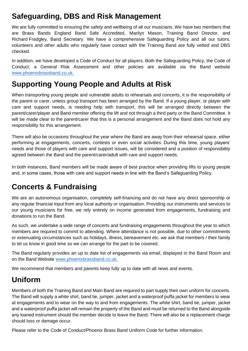#### **Safeguarding, DBS and Risk Management**

We are fully committed to ensuring the safety and wellbeing of all our musicians. We have two members that are Brass Bands England Band Safe Accredited, Marilyn Mason, Training Band Director, and Richard Fradgley, Band Secretary. We have a comprehensive Safeguarding Policy and all our tutors, volunteers and other adults who regularly have contact with the Training Band are fully vetted and DBS checked.

In addition, we have developed a Code of Conduct for all players. Both the Safeguarding Policy, the Code of Conduct, a General Risk Assessment and other policies are available via the Band website [www.phoenixbrassband.co.uk.](http://www.phoenixbrassband.co.uk/)

#### **Supporting Young People and Adults at Risk**

When transporting young people and vulnerable adults to rehearsals and concerts, it is the responsibility of the parent or carer, unless group transport has been arranged by the Band. If a young player, or player with care and support needs, is needing help with transport, this will be arranged directly between the parent/carer/player and Band member offering the lift and not through a third party or the Band Committee. It will be made clear to the parent/carer that this is a personal arrangement and the Band does not hold any responsibility for this arrangement.

There will also be occasions throughout the year where the Band are away from their rehearsal space, either performing at engagements, concerts, contests or even social activities. During this time, young players' needs and those of players with care and support issues, will be considered and a position of responsibility agreed between the Band and the parent/carer/adult with care and support needs.

In both instances, Band members will be made aware of best practice when providing lifts to young people and, in some cases, those with care and support needs in line with the Band's Safeguarding Policy.

#### **Concerts & Fundraising**

We are an autonomous organisation, completely self-financing and do not have any direct sponsorship or any regular financial input from any local authority or organisation. Providing our instruments and services to our young musicians for free, we rely entirely on income generated from engagements, fundraising and donations to run the Band.

As such, we undertake a wide range of concerts and fundraising engagements throughout the year to which members are required to commit to attending. Where attendance is not possible, due to other commitments or extenuating circumstances such as holidays, illness, bereavement etc. we ask that members / their family to let us know in good time so we can arrange for the part to be covered.

The Band regularly provides an up to date list of engagements via email, displayed in the Band Room and on the Band Website [www.phoenixbrassband.co.uk.](http://phoenixbrassband.co.uk/)

We recommend that members and parents keep fully up to date with all news and events.

#### **Uniform**

Members of both the Training Band and Main Band are required to part supply their own uniform for concerts. The Band will supply a white shirt, band tie, jumper, jacket and a waterproof puffa jacket for members to wear at engagements and to wear on the way to and from engagements. The white shirt, band tie, jumper, jacket and a waterproof puffa jacket will remain the property of the Band and must be returned to the Band alongside any loaned instrument should the member decide to leave the Band. There will also be a replacement charge should loss or damage occur.

Please refer to the Code of Conduct/Phoenix Brass Band Uniform Code for further information.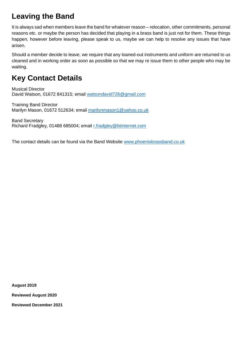#### **Leaving the Band**

It is always sad when members leave the band for whatever reason – relocation, other commitments, personal reasons etc. or maybe the person has decided that playing in a brass band is just not for them. These things happen, however before leaving, please speak to us, maybe we can help to resolve any issues that have arisen.

Should a member decide to leave, we require that any loaned-out instruments and uniform are returned to us cleaned and in working order as soon as possible so that we may re issue them to other people who may be waiting.

#### **Key Contact Details**

Musical Director David Watson, 01672 841315; email [watsondavid726@gmail.com](mailto:watsondavid726@gmail.com)

Training Band Director Marilyn Mason, 01672 512634; email [marilynmason1@yahoo.co.uk](mailto:marilynmason1@yahoo.co.uk)

Band Secretary Richard Fradgley, 01488 685004; email [r.fradgley@btinternet.com](mailto:r.fradgley@btinternet.com)

The contact details can be found via the Band Website [www.phoenixbrassband.co.uk](http://www.phoenixbrassband.co.uk/)

**August 2019**

**Reviewed August 2020**

**Reviewed December 2021**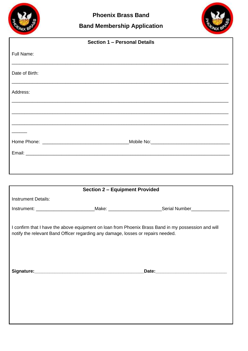

#### **Band Membership Application**



| Section 1 - Personal Details |  |  |  |  |
|------------------------------|--|--|--|--|
| Full Name:                   |  |  |  |  |
| Date of Birth:               |  |  |  |  |
| Address:                     |  |  |  |  |
|                              |  |  |  |  |
|                              |  |  |  |  |
|                              |  |  |  |  |
|                              |  |  |  |  |
|                              |  |  |  |  |
|                              |  |  |  |  |
|                              |  |  |  |  |

| <b>Section 2 - Equipment Provided</b>                                                               |  |                                                                                                           |  |  |  |  |
|-----------------------------------------------------------------------------------------------------|--|-----------------------------------------------------------------------------------------------------------|--|--|--|--|
| <b>Instrument Details:</b>                                                                          |  |                                                                                                           |  |  |  |  |
|                                                                                                     |  | Instrument: _____________________________Make: ___________________________Serial Number__________________ |  |  |  |  |
|                                                                                                     |  |                                                                                                           |  |  |  |  |
| I confirm that I have the above equipment on loan from Phoenix Brass Band in my possession and will |  |                                                                                                           |  |  |  |  |
| notify the relevant Band Officer regarding any damage, losses or repairs needed.                    |  |                                                                                                           |  |  |  |  |
|                                                                                                     |  |                                                                                                           |  |  |  |  |
|                                                                                                     |  |                                                                                                           |  |  |  |  |
|                                                                                                     |  |                                                                                                           |  |  |  |  |
|                                                                                                     |  |                                                                                                           |  |  |  |  |
|                                                                                                     |  |                                                                                                           |  |  |  |  |
|                                                                                                     |  |                                                                                                           |  |  |  |  |
|                                                                                                     |  |                                                                                                           |  |  |  |  |
|                                                                                                     |  |                                                                                                           |  |  |  |  |
|                                                                                                     |  |                                                                                                           |  |  |  |  |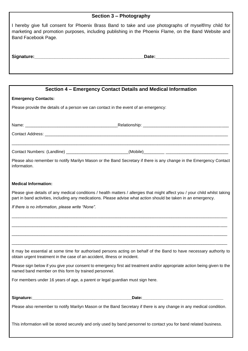| Section 3 - Photography                                                                                                                                                                                                                       |  |  |  |  |
|-----------------------------------------------------------------------------------------------------------------------------------------------------------------------------------------------------------------------------------------------|--|--|--|--|
| I hereby give full consent for Phoenix Brass Band to take and use photographs of myself/my child for<br>marketing and promotion purposes, including publishing in the Phoenix Flame, on the Band Website and<br>Band Facebook Page.           |  |  |  |  |
|                                                                                                                                                                                                                                               |  |  |  |  |
|                                                                                                                                                                                                                                               |  |  |  |  |
|                                                                                                                                                                                                                                               |  |  |  |  |
| Section 4 – Emergency Contact Details and Medical Information                                                                                                                                                                                 |  |  |  |  |
| <b>Emergency Contacts:</b>                                                                                                                                                                                                                    |  |  |  |  |
| Please provide the details of a person we can contact in the event of an emergency:                                                                                                                                                           |  |  |  |  |
|                                                                                                                                                                                                                                               |  |  |  |  |
|                                                                                                                                                                                                                                               |  |  |  |  |
|                                                                                                                                                                                                                                               |  |  |  |  |
|                                                                                                                                                                                                                                               |  |  |  |  |
| Please also remember to notify Marilyn Mason or the Band Secretary if there is any change in the Emergency Contact<br>information.                                                                                                            |  |  |  |  |
| <b>Medical Information:</b>                                                                                                                                                                                                                   |  |  |  |  |
| Please give details of any medical conditions / health matters / allergies that might affect you / your child whilst taking<br>part in band activities, including any medications. Please advise what action should be taken in an emergency. |  |  |  |  |
| If there is no information, please write "None".                                                                                                                                                                                              |  |  |  |  |
|                                                                                                                                                                                                                                               |  |  |  |  |
|                                                                                                                                                                                                                                               |  |  |  |  |
|                                                                                                                                                                                                                                               |  |  |  |  |
| It may be essential at some time for authorised persons acting on behalf of the Band to have necessary authority to<br>obtain urgent treatment in the case of an accident, illness or incident.                                               |  |  |  |  |
| Please sign below if you give your consent to emergency first aid treatment and/or appropriate action being given to the<br>named band member on this form by trained personnel.                                                              |  |  |  |  |
| For members under 16 years of age, a parent or legal guardian must sign here.                                                                                                                                                                 |  |  |  |  |
|                                                                                                                                                                                                                                               |  |  |  |  |
| Please also remember to notify Marilyn Mason or the Band Secretary if there is any change in any medical condition.                                                                                                                           |  |  |  |  |
| This information will be stored securely and only used by band personnel to contact you for band related business.                                                                                                                            |  |  |  |  |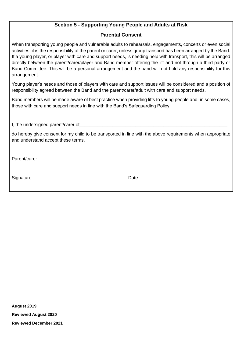#### **Section 5 - Supporting Young People and Adults at Risk**

#### **Parental Consent**

When transporting young people and vulnerable adults to rehearsals, engagements, concerts or even social activities, it is the responsibility of the parent or carer, unless group transport has been arranged by the Band. If a young player, or player with care and support needs, is needing help with transport, this will be arranged directly between the parent/carer/player and Band member offering the lift and not through a third party or Band Committee. This will be a personal arrangement and the band will not hold any responsibility for this arrangement.

Young player's needs and those of players with care and support issues will be considered and a position of responsibility agreed between the Band and the parent/carer/adult with care and support needs.

Band members will be made aware of best practice when providing lifts to young people and, in some cases, those with care and support needs in line with the Band's Safeguarding Policy.

I, the undersigned parent/carer of\_\_\_\_\_\_\_\_\_\_\_\_\_\_\_\_\_\_\_\_\_\_\_\_\_\_\_\_\_\_\_\_\_\_\_\_\_\_\_\_\_\_\_\_\_\_\_\_\_\_\_\_\_\_\_\_\_\_

do hereby give consent for my child to be transported in line with the above requirements when appropriate and understand accept these terms.

Parent/carer\_\_\_\_\_\_\_\_\_\_\_\_\_\_\_\_\_\_\_\_\_\_\_\_\_\_\_\_\_\_\_\_\_\_\_\_\_\_\_\_\_\_\_\_\_\_\_\_\_\_\_\_\_\_\_\_\_\_\_\_\_\_\_\_\_\_\_\_\_\_\_\_\_\_\_

Signature\_\_\_\_\_\_\_\_\_\_\_\_\_\_\_\_\_\_\_\_\_\_\_\_\_\_\_\_\_\_\_\_\_\_\_\_\_\_Date\_\_\_\_\_\_\_\_\_\_\_\_\_\_\_\_\_\_\_\_\_\_\_\_\_\_\_\_\_\_\_\_\_\_\_

**August 2019 Reviewed August 2020 Reviewed December 2021**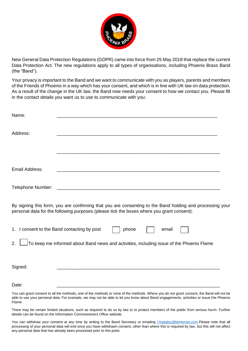

New General Data Protection Regulations (GDPR) came into force from 25 May 2018 that replace the current Data Protection Act. The new regulations apply to all types of organisations, including Phoenix Brass Band (the "Band").

Your privacy is important to the Band and we want to communicate with you as players, parents and members of the Friends of Phoenix in a way which has your consent, and which is in line with UK law on data protection. As a result of the change in the UK law, the Band now needs your consent to how we contact you. Please fill in the contact details you want us to use to communicate with you:

| Name:             |                                                                                                                                                                                                                                                                                      |       |       |  |
|-------------------|--------------------------------------------------------------------------------------------------------------------------------------------------------------------------------------------------------------------------------------------------------------------------------------|-------|-------|--|
| Address:          |                                                                                                                                                                                                                                                                                      |       |       |  |
|                   |                                                                                                                                                                                                                                                                                      |       |       |  |
| Email Address:    |                                                                                                                                                                                                                                                                                      |       |       |  |
| Telephone Number: | <u> 2008 - Jan Barnett, fransk politik (d. 1888)</u>                                                                                                                                                                                                                                 |       |       |  |
|                   | By signing this form, you are confirming that you are consenting to the Band holding and processing your<br>personal data for the following purposes (please tick the boxes where you grant consent):                                                                                |       |       |  |
|                   | 1. I consent to the Band contacting by post                                                                                                                                                                                                                                          | phone | email |  |
| 2.                | To keep me informed about Band news and activities, including issue of the Phoenix Flame                                                                                                                                                                                             |       |       |  |
| Signed:           |                                                                                                                                                                                                                                                                                      |       |       |  |
| Date:             |                                                                                                                                                                                                                                                                                      |       |       |  |
|                   | You can grant consent to all the methods, one of the methods or none of the methods. Where you do not grant consent, the Band will not be<br>oble to use your personal data. For example, we may not be oble to let you know about Rand engagements, activities or issue the Dheonix |       |       |  |

able to use your personal data. For example, we may not be able to let you know about Band engagements, activities or issue the Phoenix Flame.

There may be certain limited situations, such as required to do so by law or to protect members of the public from serious harm. Further details can be found on the Information Commissioners Office website.

You can withdraw your consent at any time by writing to the Band Secretary or emailing [r.fradgley@btinternet.com.](mailto:r.fradgley@btinternet.com)Please note that all processing of your personal data will end once you have withdrawn consent, other than where this is required by law, but this will not affect any personal data that has already been processed prior to this point.